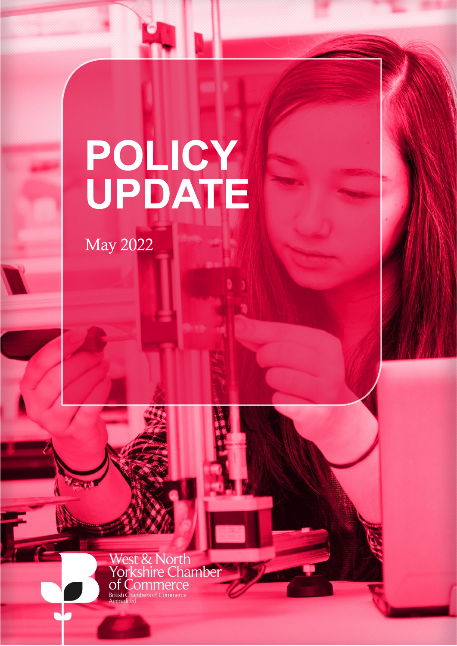# **POLICY UPDATE**

May 2022

West & North<br>Yorkshire Chamber<br>of Commerce<br>British Chambers of Commerce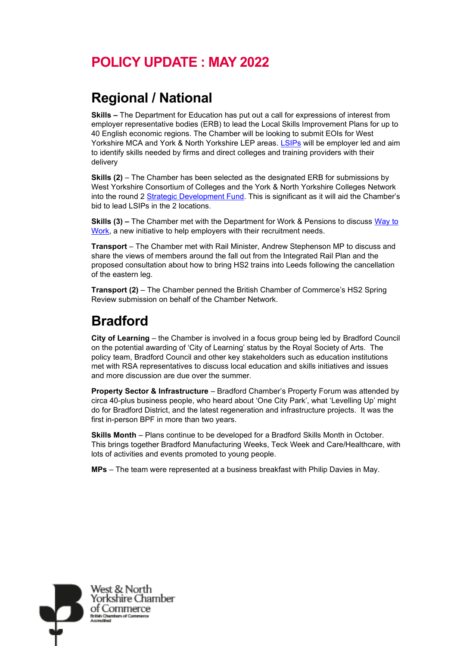## **POLICY UPDATE : MAY 2022**

### **Regional / National**

**Skills –** The Department for Education has put out a call for expressions of interest from employer representative bodies (ERB) to lead the Local Skills Improvement Plans for up to 40 English economic regions. The Chamber will be looking to submit EOIs for West Yorkshire MCA and York & North Yorkshire LEP areas. [LSIPs](https://assets.publishing.service.gov.uk/government/uploads/system/uploads/attachment_data/file/1072409/Local_skills_improvement_plans_-_application_guidance_for_expressions_of_interest_for_the_designation_of_the_employer_representative_bodies.pdf) will be employer led and aim to identify skills needed by firms and direct colleges and training providers with their delivery

**Skills (2)** – The Chamber has been selected as the designated ERB for submissions by West Yorkshire Consortium of Colleges and the York & North Yorkshire Colleges Network into the round 2 [Strategic Development Fund.](https://www.gov.uk/guidance/skills-accelerator-apply-now) This is significant as it will aid the Chamber's bid to lead LSIPs in the 2 locations.

**Skills (3) –** The Chamber met with the Department for Work & Pensions to discuss Way to [Work,](https://jobhelp.campaign.gov.uk/way-to-work/) a new initiative to help employers with their recruitment needs.

**Transport** – The Chamber met with Rail Minister, Andrew Stephenson MP to discuss and share the views of members around the fall out from the Integrated Rail Plan and the proposed consultation about how to bring HS2 trains into Leeds following the cancellation of the eastern leg.

**Transport (2)** – The Chamber penned the British Chamber of Commerce's HS2 Spring Review submission on behalf of the Chamber Network.

## **Bradford**

**City of Learning** – the Chamber is involved in a focus group being led by Bradford Council on the potential awarding of 'City of Learning' status by the Royal Society of Arts. The policy team, Bradford Council and other key stakeholders such as education institutions met with RSA representatives to discuss local education and skills initiatives and issues and more discussion are due over the summer.

**Property Sector & Infrastructure** – Bradford Chamber's Property Forum was attended by circa 40-plus business people, who heard about 'One City Park', what 'Levelling Up' might do for Bradford District, and the latest regeneration and infrastructure projects. It was the first in-person BPF in more than two years.

**Skills Month** – Plans continue to be developed for a Bradford Skills Month in October. This brings together Bradford Manufacturing Weeks, Teck Week and Care/Healthcare, with lots of activities and events promoted to young people.

**MPs** – The team were represented at a business breakfast with Philip Davies in May.

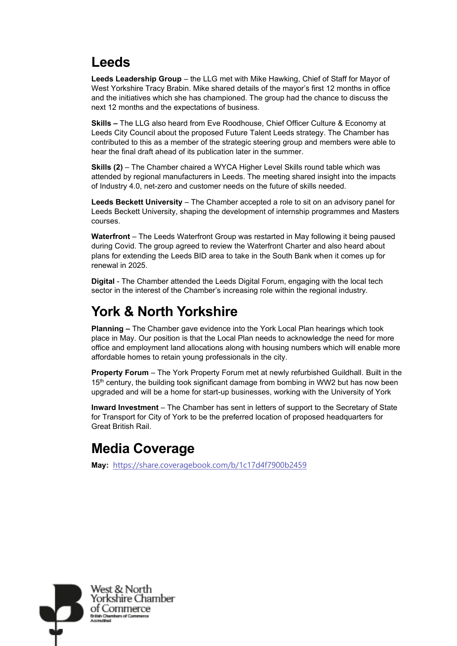#### **Leeds**

**Leeds Leadership Group** – the LLG met with Mike Hawking, Chief of Staff for Mayor of West Yorkshire Tracy Brabin. Mike shared details of the mayor's first 12 months in office and the initiatives which she has championed. The group had the chance to discuss the next 12 months and the expectations of business.

**Skills –** The LLG also heard from Eve Roodhouse, Chief Officer Culture & Economy at Leeds City Council about the proposed Future Talent Leeds strategy. The Chamber has contributed to this as a member of the strategic steering group and members were able to hear the final draft ahead of its publication later in the summer.

**Skills (2)** – The Chamber chaired a WYCA Higher Level Skills round table which was attended by regional manufacturers in Leeds. The meeting shared insight into the impacts of Industry 4.0, net-zero and customer needs on the future of skills needed.

**Leeds Beckett University** – The Chamber accepted a role to sit on an advisory panel for Leeds Beckett University, shaping the development of internship programmes and Masters courses.

**Waterfront** – The Leeds Waterfront Group was restarted in May following it being paused during Covid. The group agreed to review the Waterfront Charter and also heard about plans for extending the Leeds BID area to take in the South Bank when it comes up for renewal in 2025.

**Digital** - The Chamber attended the Leeds Digital Forum, engaging with the local tech sector in the interest of the Chamber's increasing role within the regional industry.

### **York & North Yorkshire**

**Planning –** The Chamber gave evidence into the York Local Plan hearings which took place in May. Our position is that the Local Plan needs to acknowledge the need for more office and employment land allocations along with housing numbers which will enable more affordable homes to retain young professionals in the city.

**Property Forum** – The York Property Forum met at newly refurbished Guildhall. Built in the 15<sup>th</sup> century, the building took significant damage from bombing in WW2 but has now been upgraded and will be a home for start-up businesses, working with the University of York

**Inward Investment** – The Chamber has sent in letters of support to the Secretary of State for Transport for City of York to be the preferred location of proposed headquarters for Great British Rail.

## **Media Coverage**

**May:** <https://share.coveragebook.com/b/1c17d4f7900b2459>

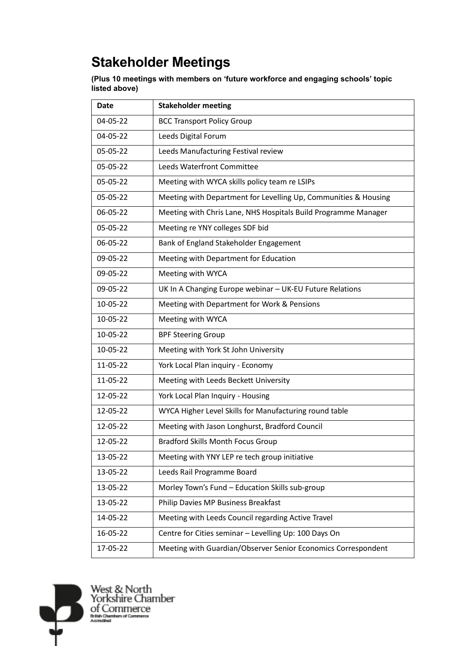# **Stakeholder Meetings**

**(Plus 10 meetings with members on 'future workforce and engaging schools' topic listed above)**

| Date     | <b>Stakeholder meeting</b>                                      |  |
|----------|-----------------------------------------------------------------|--|
| 04-05-22 | <b>BCC Transport Policy Group</b>                               |  |
| 04-05-22 | Leeds Digital Forum                                             |  |
| 05-05-22 | Leeds Manufacturing Festival review                             |  |
| 05-05-22 | Leeds Waterfront Committee                                      |  |
| 05-05-22 | Meeting with WYCA skills policy team re LSIPs                   |  |
| 05-05-22 | Meeting with Department for Levelling Up, Communities & Housing |  |
| 06-05-22 | Meeting with Chris Lane, NHS Hospitals Build Programme Manager  |  |
| 05-05-22 | Meeting re YNY colleges SDF bid                                 |  |
| 06-05-22 | Bank of England Stakeholder Engagement                          |  |
| 09-05-22 | Meeting with Department for Education                           |  |
| 09-05-22 | Meeting with WYCA                                               |  |
| 09-05-22 | UK In A Changing Europe webinar - UK-EU Future Relations        |  |
| 10-05-22 | Meeting with Department for Work & Pensions                     |  |
| 10-05-22 | Meeting with WYCA                                               |  |
| 10-05-22 | <b>BPF Steering Group</b>                                       |  |
| 10-05-22 | Meeting with York St John University                            |  |
| 11-05-22 | York Local Plan inquiry - Economy                               |  |
| 11-05-22 | Meeting with Leeds Beckett University                           |  |
| 12-05-22 | York Local Plan Inquiry - Housing                               |  |
| 12-05-22 | WYCA Higher Level Skills for Manufacturing round table          |  |
| 12-05-22 | Meeting with Jason Longhurst, Bradford Council                  |  |
| 12-05-22 | <b>Bradford Skills Month Focus Group</b>                        |  |
| 13-05-22 | Meeting with YNY LEP re tech group initiative                   |  |
| 13-05-22 | Leeds Rail Programme Board                                      |  |
| 13-05-22 | Morley Town's Fund - Education Skills sub-group                 |  |
| 13-05-22 | Philip Davies MP Business Breakfast                             |  |
| 14-05-22 | Meeting with Leeds Council regarding Active Travel              |  |
| 16-05-22 | Centre for Cities seminar - Levelling Up: 100 Days On           |  |
| 17-05-22 | Meeting with Guardian/Observer Senior Economics Correspondent   |  |



West & North<br>Yorkshire Chamber of Commerce<br>Annih Chamban of Commerce<br>Accruited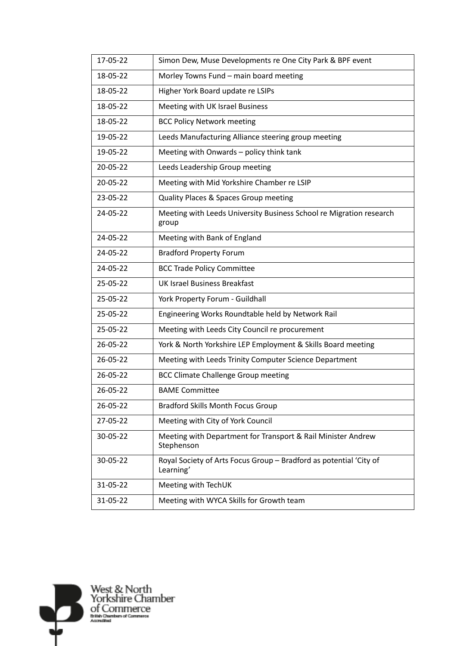| 17-05-22 | Simon Dew, Muse Developments re One City Park & BPF event                       |  |
|----------|---------------------------------------------------------------------------------|--|
| 18-05-22 | Morley Towns Fund - main board meeting                                          |  |
| 18-05-22 | Higher York Board update re LSIPs                                               |  |
| 18-05-22 | Meeting with UK Israel Business                                                 |  |
| 18-05-22 | <b>BCC Policy Network meeting</b>                                               |  |
| 19-05-22 | Leeds Manufacturing Alliance steering group meeting                             |  |
| 19-05-22 | Meeting with Onwards - policy think tank                                        |  |
| 20-05-22 | Leeds Leadership Group meeting                                                  |  |
| 20-05-22 | Meeting with Mid Yorkshire Chamber re LSIP                                      |  |
| 23-05-22 | Quality Places & Spaces Group meeting                                           |  |
| 24-05-22 | Meeting with Leeds University Business School re Migration research<br>group    |  |
| 24-05-22 | Meeting with Bank of England                                                    |  |
| 24-05-22 | <b>Bradford Property Forum</b>                                                  |  |
| 24-05-22 | <b>BCC Trade Policy Committee</b>                                               |  |
| 25-05-22 | <b>UK Israel Business Breakfast</b>                                             |  |
| 25-05-22 | York Property Forum - Guildhall                                                 |  |
| 25-05-22 | Engineering Works Roundtable held by Network Rail                               |  |
| 25-05-22 | Meeting with Leeds City Council re procurement                                  |  |
| 26-05-22 | York & North Yorkshire LEP Employment & Skills Board meeting                    |  |
| 26-05-22 | Meeting with Leeds Trinity Computer Science Department                          |  |
| 26-05-22 | <b>BCC Climate Challenge Group meeting</b>                                      |  |
| 26-05-22 | <b>BAME Committee</b>                                                           |  |
| 26-05-22 | <b>Bradford Skills Month Focus Group</b>                                        |  |
| 27-05-22 | Meeting with City of York Council                                               |  |
| 30-05-22 | Meeting with Department for Transport & Rail Minister Andrew<br>Stephenson      |  |
| 30-05-22 | Royal Society of Arts Focus Group - Bradford as potential 'City of<br>Learning' |  |
| 31-05-22 | Meeting with TechUK                                                             |  |
| 31-05-22 | Meeting with WYCA Skills for Growth team                                        |  |